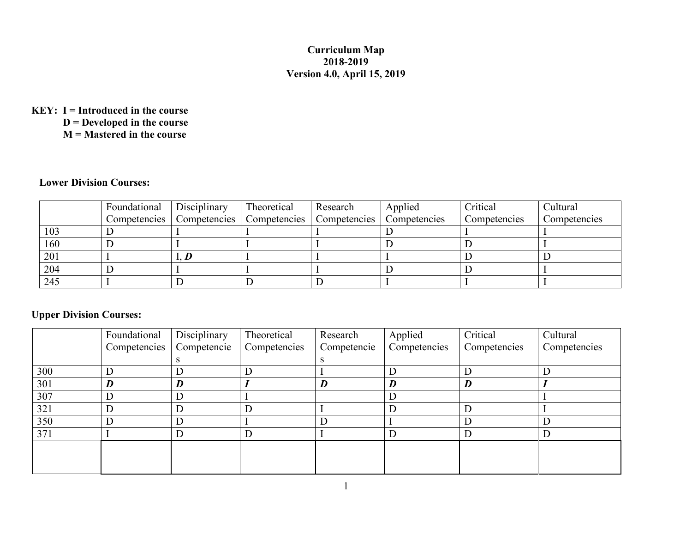## **Curriculum Map 2018-2019 Version 4.0, April 15, 2019**

## **KEY: I = Introduced in the course**

**D = Developed in the course**

**M = Mastered in the course**

## **Lower Division Courses:**

|     | Foundational | <b>Disciplinary</b> | Theoretical | Research                                                                 | Applied | Critical     | Cultural     |
|-----|--------------|---------------------|-------------|--------------------------------------------------------------------------|---------|--------------|--------------|
|     |              |                     |             | Competencies   Competencies   Competencies   Competencies   Competencies |         | Competencies | Competencies |
| 103 |              |                     |             |                                                                          |         |              |              |
| 160 |              |                     |             |                                                                          |         |              |              |
| 201 |              |                     |             |                                                                          |         |              |              |
| 204 |              |                     |             |                                                                          |         |              |              |
| 245 |              |                     |             |                                                                          |         |              |              |

## **Upper Division Courses:**

|     | Foundational | Disciplinary | Theoretical  | Research    | Applied      | Critical     | Cultural     |
|-----|--------------|--------------|--------------|-------------|--------------|--------------|--------------|
|     | Competencies | Competencie  | Competencies | Competencie | Competencies | Competencies | Competencies |
|     |              |              |              |             |              |              |              |
| 300 |              |              |              |             |              |              |              |
| 301 | D            | D            |              | D           | D            | D            |              |
| 307 |              | D            |              |             |              |              |              |
| 321 | IJ           | D            |              |             |              |              |              |
| 350 |              | D            |              |             |              |              |              |
| 371 |              | D            |              |             |              |              |              |
|     |              |              |              |             |              |              |              |
|     |              |              |              |             |              |              |              |
|     |              |              |              |             |              |              |              |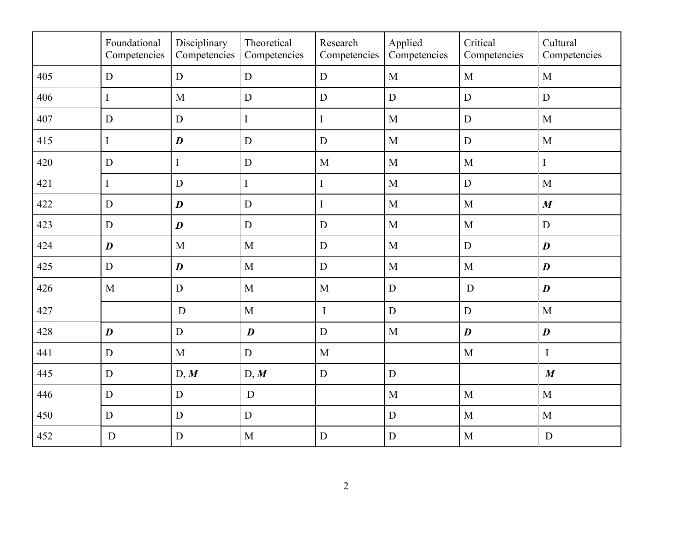|     | Foundational<br>Competencies | Disciplinary<br>Competencies | Theoretical<br>Competencies | Research<br>Competencies | Applied<br>Competencies | Critical<br>Competencies | Cultural<br>Competencies |
|-----|------------------------------|------------------------------|-----------------------------|--------------------------|-------------------------|--------------------------|--------------------------|
| 405 | D                            | $\mathbf D$                  | $\mathbf D$                 | $\mathbf D$              | $\mathbf{M}$            | M                        | M                        |
| 406 | $\bf I$                      | M                            | $\overline{D}$              | $\mathbf D$              | ${\bf D}$               | $\mathbf D$              | ${\bf D}$                |
| 407 | D                            | $\mathbf D$                  | I                           | $\bf I$                  | $\mathbf{M}$            | $\mathbf D$              | $\mathbf{M}$             |
| 415 | $\bf I$                      | $\boldsymbol{D}$             | ${\bf D}$                   | $\mathbf D$              | M                       | $\mathbf D$              | $\mathbf M$              |
| 420 | D                            | $\bf I$                      | $\mathbf D$                 | $\mathbf{M}$             | M                       | M                        | $\bf{I}$                 |
| 421 | $\mathbf I$                  | D                            | I                           | $\mathbf I$              | M                       | $\mathbf D$              | M                        |
| 422 | $\overline{D}$               | $\boldsymbol{D}$             | $\mathbf D$                 | $\bf I$                  | M                       | M                        | $\boldsymbol{M}$         |
| 423 | $\mathbf D$                  | $\boldsymbol{D}$             | D                           | $\mathbf D$              | M                       | $\mathbf{M}$             | ${\bf D}$                |
| 424 | $\boldsymbol{D}$             | $\mathbf{M}$                 | M                           | $\mathbf D$              | M                       | $\mathbf D$              | $\boldsymbol{D}$         |
| 425 | $\mathbf D$                  | $\boldsymbol{D}$             | $\overline{M}$              | $\mathbf D$              | M                       | $\mathbf{M}$             | $\boldsymbol{D}$         |
| 426 | $\mathbf{M}$                 | $\mathbf D$                  | $\mathbf M$                 | M                        | $\mathbf D$             | D                        | $\boldsymbol{D}$         |
| 427 |                              | $\mathbf D$                  | $\overline{M}$              | $\bf I$                  | ${\bf D}$               | $\mathbf D$              | M                        |
| 428 | $\boldsymbol{D}$             | $\mathbf D$                  | $\boldsymbol{D}$            | $\mathbf D$              | M                       | $\boldsymbol{D}$         | $\boldsymbol{D}$         |
| 441 | $\mathbf D$                  | $\mathbf{M}$                 | $\mathbf D$                 | $\mathbf{M}$             |                         | $\mathbf{M}$             | $\mathbf I$              |
| 445 | $\mathbf D$                  | D, M                         | D, M                        | ${\bf D}$                | $\mathbf D$             |                          | $\boldsymbol{M}$         |
| 446 | $\mathbf D$                  | $\mathbf D$                  | D                           |                          | M                       | $\mathbf{M}$             | M                        |
| 450 | $\mathbf D$                  | $\mathbf D$                  | D                           |                          | ${\bf D}$               | M                        | $\mathbf{M}$             |
| 452 | $\mathbf D$                  | ${\bf D}$                    | M                           | $\mathbf D$              | ${\bf D}$               | M                        | ${\bf D}$                |